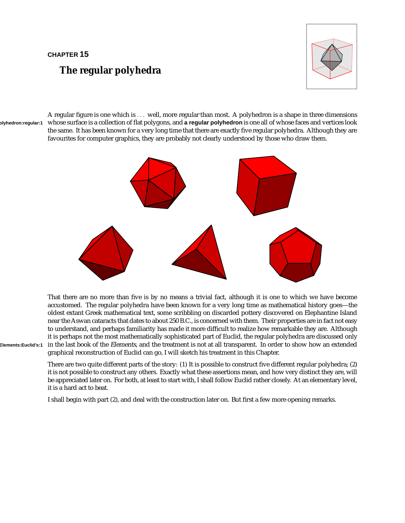# **CHAPTER 15 The regular polyhedra**



A regular figure is one which is ... well, more regular than most. A polyhedron is a shape in three dimensions **polyhedron:regular:1** whose surface is a collection of flat polygons, and **a regular polyhedron** is one all of whose faces and vertices look the same. It has been known for a very long time that there are exactly five regular polyhedra. Although they are favourites for computer graphics, they are probably not clearly understood by those who draw them.



That there are no more than five is by no means a trivial fact, although it is one to which we have become accustomed. The regular polyhedra have been known for a very long time as mathematical history goes—the oldest extant Greek mathematical text, some scribbling on discarded pottery discovered on Elephantine Island near the Aswan cataracts that dates to about 250 B.C., is concerned with them. Their properties are in fact not easy to understand, and perhaps familiarity has made it more difficult to realize how remarkable they are. Although it is perhaps not the most mathematically sophisticated part of Euclid, the regular polyhedra are discussed only **Elements:Euclid's:1** in the last book of the Elements, and the treatment is not at all transparent. In order to show how an extended graphical reconstruction of Euclid can go, I will sketch his treatment in this Chapter.

> There are two quite different parts of the story: (1) It is possible to construct five different regular polyhedra; (2) it is not possible to construct any others. Exactly what these assertions mean, and how very distinct they are, will be appreciated later on. For both, at least to start with, I shall follow Euclid rather closely. At an elementary level, it is a hard act to beat.

I shall begin with part (2), and deal with the construction later on. But first a few more opening remarks.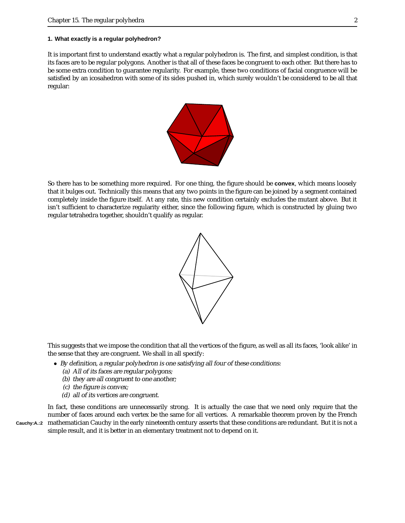## **1. What exactly is a regular polyhedron?**

It is important first to understand exactly what a regular polyhedron is. The first, and simplest condition, is that its faces are to be regular polygons. Another is that all of these faces be congruent to each other. But there has to be some extra condition to guarantee regularity. For example, these two conditions of facial congruence will be satisfied by an icosahedron with some of its sides pushed in, which surely wouldn't be considered to be all that regular:



So there has to be something more required. For one thing, the figure should be **convex**, which means loosely that it bulges out. Technically this means that any two points in the figure can be joined by a segment contained completely inside the figure itself. At any rate, this new condition certainly excludes the mutant above. But it isn't sufficient to characterize regularity either, since the following figure, which is constructed by gluing two regular tetrahedra together, shouldn't qualify as regular.



This suggests that we impose the condition that all the vertices of the figure, as well as all its faces, 'look alike' in the sense that they are congruent. We shall in all specify:

- By definition, <sup>a</sup> regular polyhedron is one satisfying all four of these conditions:
	- (a) All of its faces are regular polygons;
	- (b) they are all congruent to one another;
	- (c) the figure is convex;
	- (d) all of its vertices are congruent.

In fact, these conditions are unnecessarily strong. It is actually the case that we need only require that the number of faces around each vertex be the same for all vertices. A remarkable theorem proven by the French **Cauchy:A.:2** mathematician Cauchy in the early nineteenth century asserts that these conditions are redundant. But it is not a simple result, and it is better in an elementary treatment not to depend on it.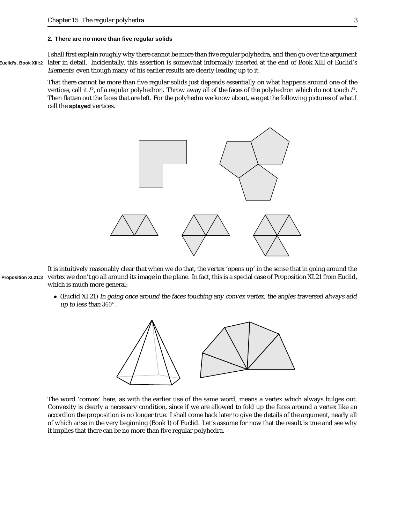## **2. There are no more than five regular solids**

I shall first explain roughly why there cannot be more than five regular polyhedra, and then go over the argument **:Euclid's, Book XIII:2** later in detail. Incidentally, this assertion is somewhat informally inserted at the end of Book XIII of Euclid's Elements, even though many of his earlier results are clearly leading up to it.

> That there cannot be more than five regular solids just depends essentially on what happens around one of the vertices, call it  $P$ , of a regular polyhedron. Throw away all of the faces of the polyhedron which do not touch  $P$ . Then flatten out the faces that are left. For the polyhedra we know about, we get the following pictures of what I call the **splayed** vertices.



It is intuitively reasonably clear that when we do that, the vertex 'opens up' in the sense that in going around the **s, Proposition XI.21:3** vertex we don't go all around its image in the plane. In fact, this is a special case of Proposition XI.21 from Euclid, which is much more general:

> • (Euclid XI.21) In going once around the faces touching any convex vertex, the angles traversed always add up to less than 360◦.



The word 'convex' here, as with the earlier use of the same word, means a vertex which always bulges out. Convexity is clearly a necessary condition, since if we are allowed to fold up the faces around a vertex like an accordion the proposition is no longer true. I shall come back later to give the details of the argument, nearly all of which arise in the very beginning (Book I) of Euclid. Let's assume for now that the result is true and see why it implies that there can be no more than five regular polyhedra.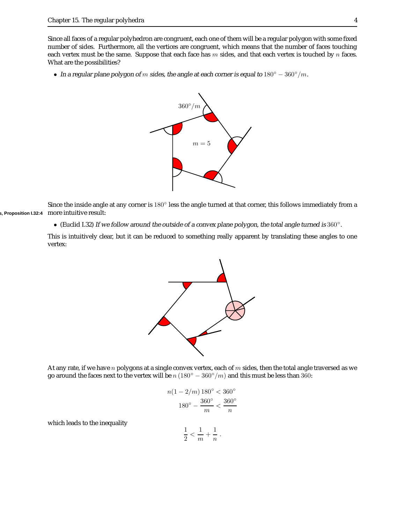Since all faces of a regular polyhedron are congruent, each one of them will be a regular polygon with some fixed number of sides. Furthermore, all the vertices are congruent, which means that the number of faces touching each vertex must be the same. Suppose that each face has  $m$  sides, and that each vertex is touched by  $n$  faces. What are the possibilities?

• In a regular plane polygon of m sides, the angle at each corner is equal to  $180° - 360°/m$ .



Since the inside angle at any corner is  $180°$  less the angle turned at that corner, this follows immediately from a **'s, Proposition I.32:4** more intuitive result:

• (Euclid I.32) If we follow around the outside of <sup>a</sup> convex plane polygon, the total angle turned is 360◦.

This is intuitively clear, but it can be reduced to something really apparent by translating these angles to one vertex:



At any rate, if we have n polygons at a single convex vertex, each of  $m$  sides, then the total angle traversed as we go around the faces next to the vertex will be  $n (180° - 360°/m)$  and this must be less than 360:

$$
n(1 - 2/m) 180^{\circ} < 360^{\circ}
$$
\n
$$
180^{\circ} - \frac{360^{\circ}}{m} < \frac{360^{\circ}}{n}
$$

which leads to the inequality

$$
\frac{1}{2} < \frac{1}{m} + \frac{1}{n} \; .
$$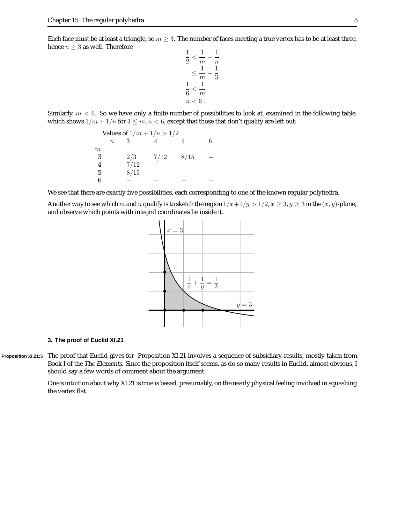Each face must be at least a triangle, so  $m \geq 3$ . The number of faces meeting a true vertex has to be at least three, hence  $n \geq 3$  as well. Therefore

 $\frac{1}{2} < \frac{1}{n}$  $\frac{1}{m} + \frac{1}{n}$ n ≤ 1  $\frac{1}{m} + \frac{1}{3}$ 3  $\frac{1}{6} < \frac{1}{n}$ m  $n < 6$ .

Similarly,  $m < 6$ . So we have only a finite number of possibilities to look at, examined in the following table, which shows  $1/m + 1/n$  for  $3 \leq m, n < 6$ , except that those that don't qualify are left out:

| Values of $1/m + 1/n > 1/2$ |        |      |      |      |  |
|-----------------------------|--------|------|------|------|--|
|                             | $\eta$ | 3    |      | 5    |  |
| $\,m$                       |        |      |      |      |  |
| 3                           |        | 2/3  | 7/12 | 8/15 |  |
|                             |        | 7/12 |      |      |  |
| $\overline{5}$              |        | 8/15 |      |      |  |
| 6                           |        |      |      |      |  |
|                             |        |      |      |      |  |

We see that there are exactly five possibilities, each corresponding to one of the known regular polyhedra.

Another way to see which m and n qualify is to sketch the region  $1/x+1/y > 1/2$ ,  $x \ge 3$ ,  $y \ge 3$  in the  $(x, y)$ -plane, and observe which points with integral coordinates lie inside it.



**3. The proof of Euclid XI.21**

**s, Proposition XI.21:5** The proof that Euclid gives for Proposition XI.21 involves a sequence of subsidiary results, mostly taken from Book I of the The Elements. Since the proposition itself seems, as do so many results in Euclid, almost obvious, I should say a few words of comment about the argument.

> One's intuition about why XI.21 is true is based, presumably, on the nearly physical feeling involved in squashing the vertex flat.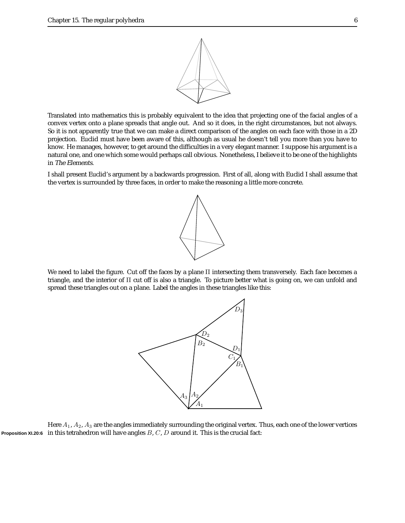

Translated into mathematics this is probably equivalent to the idea that projecting one of the facial angles of a convex vertex onto a plane spreads that angle out. And so it does, in the right circumstances, but not always. So it is not apparently true that we can make a direct comparison of the angles on each face with those in a 2D projection. Euclid must have been aware of this, although as usual he doesn't tell you more than you have to know. He manages, however, to get around the difficulties in a very elegant manner. I suppose his argument is a natural one, and one which some would perhaps call obvious. Nonetheless, I believe it to be one of the highlights in The Elements.

I shall present Euclid's argument by a backwards progression. First of all, along with Euclid I shall assume that the vertex is surrounded by three faces, in order to make the reasoning a little more concrete.



We need to label the figure. Cut off the faces by a plane Π intersecting them transversely. Each face becomes a triangle, and the interior of Π cut off is also a triangle. To picture better what is going on, we can unfold and spread these triangles out on a plane. Label the angles in these triangles like this:



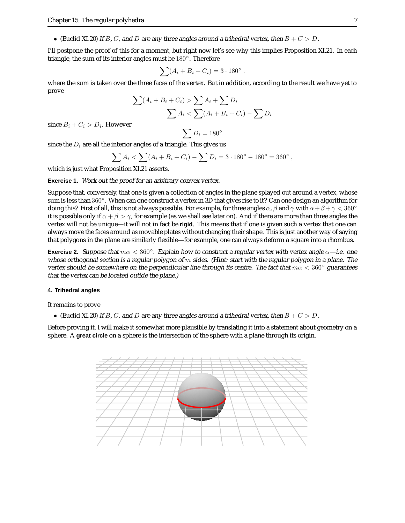• (Euclid XI.20) If B, C, and D are any three angles around a trihedral vertex, then  $B + C > D$ .

I'll postpone the proof of this for a moment, but right now let's see why this implies Proposition XI.21. In each triangle, the sum of its interior angles must be 180◦. Therefore

$$
\sum (A_i + B_i + C_i) = 3 \cdot 180^\circ.
$$

where the sum is taken over the three faces of the vertex. But in addition, according to the result we have yet to prove

$$
\sum (A_i + B_i + C_i) > \sum A_i + \sum D_i
$$
\n
$$
\sum A_i < \sum (A_i + B_i + C_i) - \sum D_i
$$

since  $B_i + C_i > D_i$ . However

 $\sum D_i = 180^\circ$ since the  $D_i$  are all the interior angles of a triangle. This gives us

$$
\sum A_i < \sum (A_i + B_i + C_i) - \sum D_i = 3 \cdot 180^\circ - 180^\circ = 360^\circ \,,
$$

which is just what Proposition XI.21 asserts.

# **Exercise 1.** Work out the proof for an arbitrary convex vertex.

Suppose that, conversely, that one is given a collection of angles in the plane splayed out around a vertex, whose sum is less than 360°. When can one construct a vertex in 3D that gives rise to it? Can one design an algorithm for doing this? First of all, this is not always possible. For example, for three angles  $\alpha$ ,  $\beta$  and  $\gamma$  with  $\alpha + \beta + \gamma < 360^{\circ}$ it is possible only if  $\alpha + \beta > \gamma$ , for example (as we shall see later on). And if there are more than three angles the vertex will not be unique—it will not in fact be **rigid**. This means that if one is given such a vertex that one can always move the faces around as movable plates without changing their shape. This is just another way of saying that polygons in the plane are similarly flexible—for example, one can always deform a square into a rhombus.

**Exercise 2.** Suppose that  $m\alpha < 360^\circ$ . Explain how to construct a regular vertex with vertex angle  $\alpha$ —i.e. one whose orthogonal section is a regular polygon of  $m$  sides. (Hint: start with the regular polygon in a plane. The vertex should be somewhere on the perpendicular line through its centre. The fact that  $m\alpha < 360°$  guarantees that the vertex can be located outide the plane.)

## **4. Trihedral angles**

It remains to prove

• (Euclid XI.20) If B, C, and D are any three angles around a trihedral vertex, then  $B + C > D$ .

Before proving it, I will make it somewhat more plausible by translating it into a statement about geometry on a sphere. A **great circle** on a sphere is the intersection of the sphere with a plane through its origin.

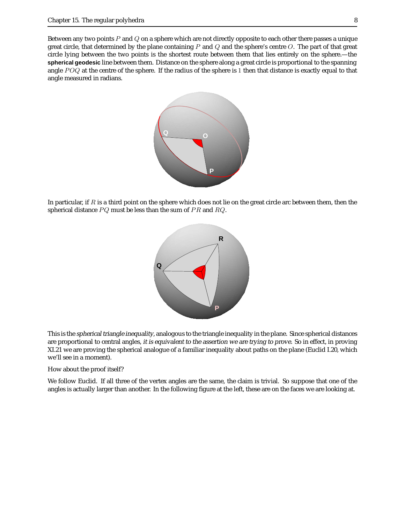Between any two points  $P$  and  $Q$  on a sphere which are not directly opposite to each other there passes a unique great circle, that determined by the plane containing  $P$  and  $Q$  and the sphere's centre  $O$ . The part of that great circle lying between the two points is the shortest route between them that lies entirely on the sphere.—the **spherical geodesic** line between them. Distance on the sphere along a great circle is proportional to the spanning angle  $POQ$  at the centre of the sphere. If the radius of the sphere is 1 then that distance is exactly equal to that angle measured in radians.



In particular, if  $R$  is a third point on the sphere which does not lie on the great circle arc between them, then the spherical distance  $PQ$  must be less than the sum of  $PR$  and  $RQ$ .



This is the spherical triangle inequality, analogous to the triangle inequality in the plane. Since spherical distances are proportional to central angles, it is equivalent to the assertion we are trying to prove. So in effect, in proving XI.21 we are proving the spherical analogue of a familiar inequality about paths on the plane (Euclid I.20, which we'll see in a moment).

How about the proof itself?

We follow Euclid. If all three of the vertex angles are the same, the claim is trivial. So suppose that one of the angles is actually larger than another. In the following figure at the left, these are on the faces we are looking at.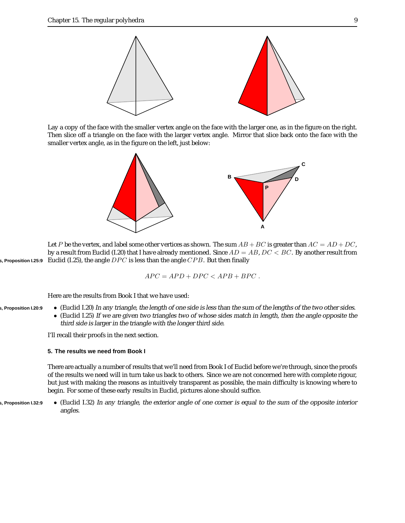

Lay a copy of the face with the smaller vertex angle on the face with the larger one, as in the figure on the right. Then slice off a triangle on the face with the larger vertex angle. Mirror that slice back onto the face with the smaller vertex angle, as in the figure on the left, just below:



Let P be the vertex, and label some other vertices as shown. The sum  $AB + BC$  is greater than  $AC = AD + DC$ , by a result from Euclid (I.20) that I have already mentioned. Since  $AD = AB$ ,  $DC < BC$ . By another result from **s, Proposition I.25:9** Euclid (I.25), the angle  $DPC$  is less than the angle  $CPB$ . But then finally

$$
APC = APD + DPC < APB + BPC.
$$

Here are the results from Book I that we have used:

**'s, Proposition I.20:9** • (Euclid I.20) In any triangle, the length of one side is less than the sum of the lengths of the two other sides.

• (Euclid I.25) If we are given two triangles two of whose sides match in length, then the angle opposite the third side is larger in the triangle with the longer third side.

I'll recall their proofs in the next section.

# **5. The results we need from Book I**

There are actually a number of results that we'll need from Book I of Euclid before we're through, since the proofs of the results we need will in turn take us back to others. Since we are not concerned here with complete rigour, but just with making the reasons as intuitively transparent as possible, the main difficulty is knowing where to begin. For some of these early results in Euclid, pictures alone should suffice.

**'s, Proposition I.32:9** • (Euclid I.32) In any triangle, the exterior angle of one corner is equal to the sum of the opposite interior angles.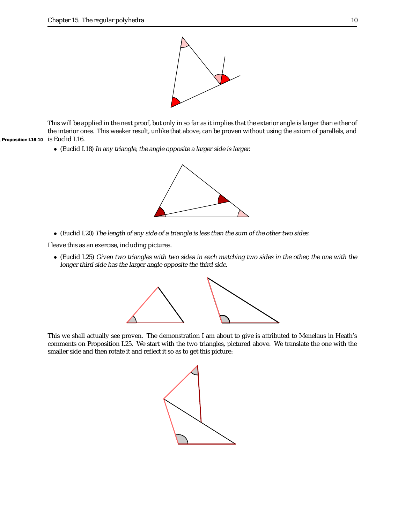

This will be applied in the next proof, but only in so far as it implies that the exterior angle is larger than either of the interior ones. This weaker result, unlike that above, can be proven without using the axiom of parallels, and **Proposition I.18:10** is Euclid I.16.

• (Euclid I.18) In any triangle, the angle opposite <sup>a</sup> larger side is larger.



• (Euclid I.20) The length of any side of <sup>a</sup> triangle is less than the sum of the other two sides.

I leave this as an exercise, including pictures.

• (Euclid I.25) Given two triangles with two sides in each matching two sides in the other, the one with the longer third side has the larger angle opposite the third side.



This we shall actually see proven. The demonstration I am about to give is attributed to Menelaus in Heath's comments on Proposition I.25. We start with the two triangles, pictured above. We translate the one with the smaller side and then rotate it and reflect it so as to get this picture:

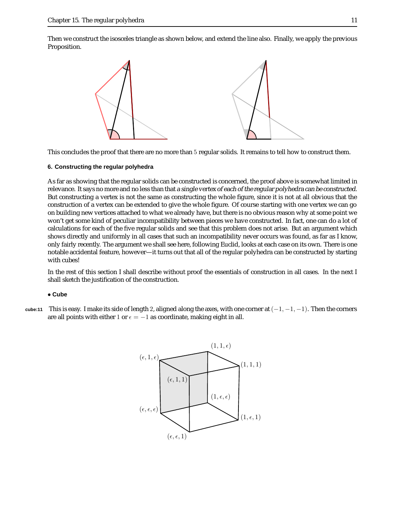Then we construct the isosceles triangle as shown below, and extend the line also. Finally, we apply the previous Proposition.



This concludes the proof that there are no more than 5 regular solids. It remains to tell how to construct them.

#### **6. Constructing the regular polyhedra**

As far as showing that the regular solids can be constructed is concerned, the proof above is somewhat limited in relevance. It says no more and no less than that <sup>a</sup> single vertex of each of the regular polyhedra can be constructed. But constructing a vertex is not the same as constructing the whole figure, since it is not at all obvious that the construction of a vertex can be extended to give the whole figure. Of course starting with one vertex we can go on building new vertices attached to what we already have, but there is no obvious reason why at some point we won't get some kind of peculiar incompatibility between pieces we have constructed. In fact, one can do a lot of calculations for each of the five regular solids and see that this problem does not arise. But an argument which shows directly and uniformly in all cases that such an incompatibility never occurs was found, as far as I know, only fairly recently. The argument we shall see here, following Euclid, looks at each case on its own. There is one notable accidental feature, however—it turns out that all of the regular polyhedra can be constructed by starting with cubes!

In the rest of this section I shall describe without proof the essentials of construction in all cases. In the next I shall sketch the justification of the construction.

# • **Cube**

**cube:11** This is easy. I make its side of length 2, aligned along the axes, with one corner at (−1, −1, −1). Then the corners are all points with either 1 or  $\epsilon = -1$  as coordinate, making eight in all.

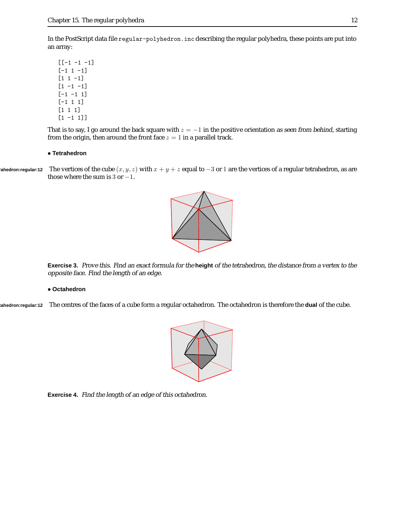In the PostScript data file regular-polyhedron.inc describing the regular polyhedra, these points are put into an array:

 $[[-1 -1 -1]$  $[-1 \ 1 \ -1]$  $[1 \ 1 \ -1]$  $[1 -1 -1]$  $[-1 -1 1]$  $[-1 \ 1 \ 1]$ [1 1 1]  $[1 -1 1]$ 

That is to say, I go around the back square with  $z = -1$  in the positive orientation as seen from behind, starting from the origin, then around the front face  $z = 1$  in a parallel track.

## • **Tetrahedron**

**thedron:regular:12** The vertices of the cube  $(x, y, z)$  with  $x + y + z$  equal to  $-3$  or  $1$  are the vertices of a regular tetrahedron, as are those where the sum is  $3$  or  $-1$ .



**Exercise 3.** Prove this. Find an exact formula for the **height** of the tetrahedron, the distance from <sup>a</sup> vertex to the opposite face. Find the length of an edge.

## • **Octahedron**

**ctahedron:regular:12** The centres of the faces of a cube form a regular octahedron. The octahedron is therefore the **dual** of the cube.



**Exercise 4.** Find the length of an edge of this octahedron.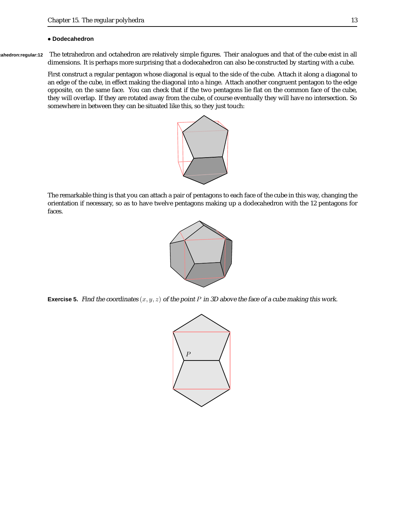#### • **Dodecahedron**

**ecahedron:regular:12** The tetrahedron and octahedron are relatively simple figures. Their analogues and that of the cube exist in all dimensions. It is perhaps more surprising that a dodecahedron can also be constructed by starting with a cube.

> First construct a regular pentagon whose diagonal is equal to the side of the cube. Attach it along a diagonal to an edge of the cube, in effect making the diagonal into a hinge. Attach another congruent pentagon to the edge opposite, on the same face. You can check that if the two pentagons lie flat on the common face of the cube, they will overlap. If they are rotated away from the cube, of course eventually they will have no intersection. So somewhere in between they can be situated like this, so they just touch:



The remarkable thing is that you can attach a pair of pentagons to each face of the cube in this way, changing the orientation if necessary, so as to have twelve pentagons making up a dodecahedron with the 12 pentagons for faces.



**Exercise 5.** Find the coordinates  $(x, y, z)$  of the point P in 3D above the face of a cube making this work.

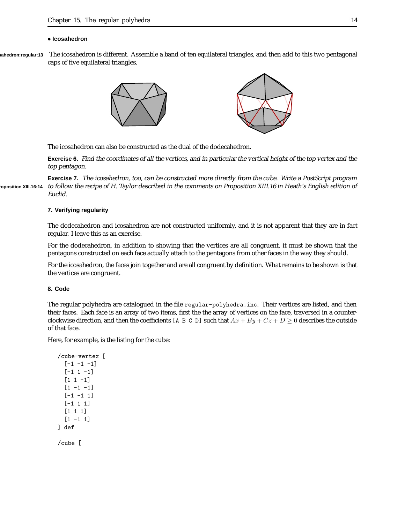#### • **Icosahedron**

**osahedron:regular:13** The icosahedron is different. Assemble a band of ten equilateral triangles, and then add to this two pentagonal caps of five equilateral triangles.



The icosahedron can also be constructed as the dual of the dodecahedron.

**Exercise 6.** Find the coordinates of all the vertices, and in particular the vertical height of the top vertex and the top pentagon.

**Exercise 7.** The icosahedron, too, can be constructed more directly from the cube. Write <sup>a</sup> PostScript program **Proposition XIII.16:14** to follow the recipe of H. Taylor described in the comments on Proposition XIII.16 in Heath's English edition of Euclid.

# **7. Verifying regularity**

The dodecahedron and icosahedron are not constructed uniformly, and it is not apparent that they are in fact regular. I leave this as an exercise.

For the dodecahedron, in addition to showing that the vertices are all congruent, it must be shown that the pentagons constructed on each face actually attach to the pentagons from other faces in the way they should.

For the icosahedron, the faces join together and are all congruent by definition. What remains to be shown is that the vertices are congruent.

#### **8. Code**

The regular polyhedra are catalogued in the file regular-polyhedra.inc. Their vertices are listed, and then their faces. Each face is an array of two items, first the the array of vertices on the face, traversed in a counterclockwise direction, and then the coefficients [A B C D] such that  $Ax + By + Cz + D \ge 0$  describes the outside of that face.

Here, for example, is the listing for the cube:

```
/cube-vertex [
  [-1 -1 -1][-1 \ 1 \ -1][1 \ 1 \ -1][1 -1 -1][-1 -1 1][-1 1 1]
  [1 1 1]
  [1 -1 1]] def
```
/cube [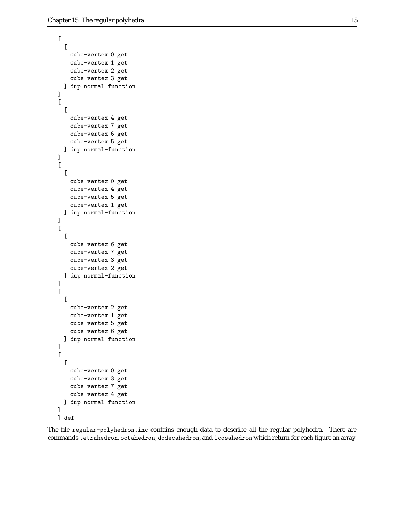```
\Gamma\Gammacube-vertex 0 get
    cube-vertex 1 get
    cube-vertex 2 get
    cube-vertex 3 get
  ] dup normal-function
]
\Gamma\Gammacube-vertex 4 get
    cube-vertex 7 get
    cube-vertex 6 get
    cube-vertex 5 get
  ] dup normal-function
]
\Gamma\Gammacube-vertex 0 get
    cube-vertex 4 get
    cube-vertex 5 get
    cube-vertex 1 get
  ] dup normal-function
]
\lceil\Gammacube-vertex 6 get
    cube-vertex 7 get
    cube-vertex 3 get
    cube-vertex 2 get
  ] dup normal-function
]
\Gamma\Gammacube-vertex 2 get
    cube-vertex 1 get
    cube-vertex 5 get
    cube-vertex 6 get
  ] dup normal-function
]
[
  \Gammacube-vertex 0 get
    cube-vertex 3 get
    cube-vertex 7 get
    cube-vertex 4 get
  ] dup normal-function
]
] def
```
The file regular-polyhedron.inc contains enough data to describe all the regular polyhedra. There are commands tetrahedron, octahedron, dodecahedron, and icosahedron which return for each figure an array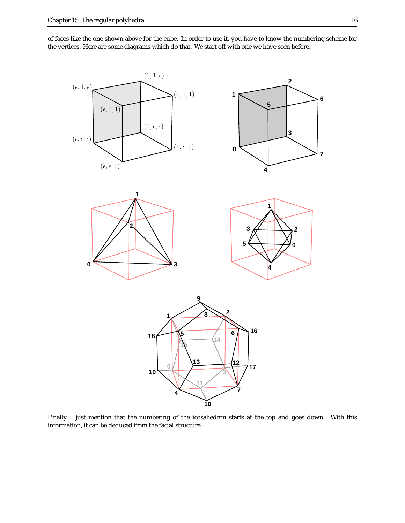of faces like the one shown above for the cube. In order to use it, you have to know the numbering scheme for the vertices. Here are some diagrams which do that. We start off with one we have seen before.



Finally, I just mention that the numbering of the icosahedron starts at the top and goes down. With this information, it can be deduced from the facial structure.